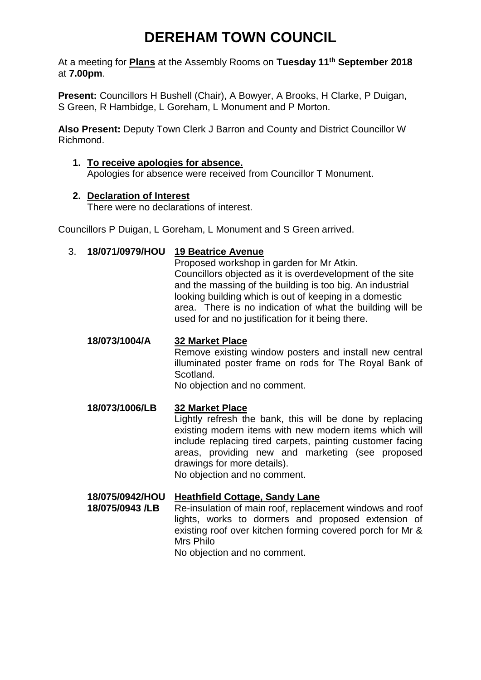# **DEREHAM TOWN COUNCIL**

At a meeting for **Plans** at the Assembly Rooms on **Tuesday 11th September 2018** at **7.00pm**.

**Present:** Councillors H Bushell (Chair), A Bowyer, A Brooks, H Clarke, P Duigan, S Green, R Hambidge, L Goreham, L Monument and P Morton.

**Also Present:** Deputy Town Clerk J Barron and County and District Councillor W Richmond.

## **1. To receive apologies for absence.**

Apologies for absence were received from Councillor T Monument.

#### **2. Declaration of Interest**

There were no declarations of interest.

Councillors P Duigan, L Goreham, L Monument and S Green arrived.

#### 3. **18/071/0979/HOU 19 Beatrice Avenue**

Proposed workshop in garden for Mr Atkin. Councillors objected as it is overdevelopment of the site and the massing of the building is too big. An industrial looking building which is out of keeping in a domestic area. There is no indication of what the building will be used for and no justification for it being there.

**18/073/1004/A 32 Market Place** Remove existing window posters and install new central illuminated poster frame on rods for The Royal Bank of Scotland. No objection and no comment.

#### **18/073/1006/LB 32 Market Place** Lightly refresh the bank, this will be done by replacing existing modern items with new modern items which will include replacing tired carpets, painting customer facing areas, providing new and marketing (see proposed drawings for more details). No objection and no comment.

### **18/075/0942/HOU Heathfield Cottage, Sandy Lane**

**18/075/0943 /LB** Re-insulation of main roof, replacement windows and roof lights, works to dormers and proposed extension of existing roof over kitchen forming covered porch for Mr & Mrs Philo No objection and no comment.